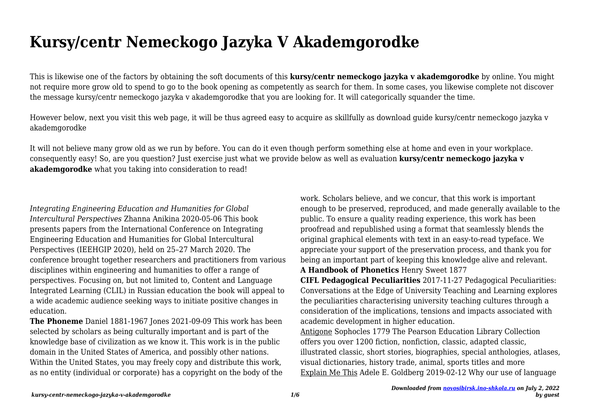## **Kursy/centr Nemeckogo Jazyka V Akademgorodke**

This is likewise one of the factors by obtaining the soft documents of this **kursy/centr nemeckogo jazyka v akademgorodke** by online. You might not require more grow old to spend to go to the book opening as competently as search for them. In some cases, you likewise complete not discover the message kursy/centr nemeckogo jazyka v akademgorodke that you are looking for. It will categorically squander the time.

However below, next you visit this web page, it will be thus agreed easy to acquire as skillfully as download guide kursy/centr nemeckogo jazyka v akademgorodke

It will not believe many grow old as we run by before. You can do it even though perform something else at home and even in your workplace. consequently easy! So, are you question? Just exercise just what we provide below as well as evaluation **kursy/centr nemeckogo jazyka v akademgorodke** what you taking into consideration to read!

*Integrating Engineering Education and Humanities for Global Intercultural Perspectives* Zhanna Anikina 2020-05-06 This book presents papers from the International Conference on Integrating Engineering Education and Humanities for Global Intercultural Perspectives (IEEHGIP 2020), held on 25–27 March 2020. The conference brought together researchers and practitioners from various disciplines within engineering and humanities to offer a range of perspectives. Focusing on, but not limited to, Content and Language Integrated Learning (CLIL) in Russian education the book will appeal to a wide academic audience seeking ways to initiate positive changes in education.

**The Phoneme** Daniel 1881-1967 Jones 2021-09-09 This work has been selected by scholars as being culturally important and is part of the knowledge base of civilization as we know it. This work is in the public domain in the United States of America, and possibly other nations. Within the United States, you may freely copy and distribute this work, as no entity (individual or corporate) has a copyright on the body of the work. Scholars believe, and we concur, that this work is important enough to be preserved, reproduced, and made generally available to the public. To ensure a quality reading experience, this work has been proofread and republished using a format that seamlessly blends the original graphical elements with text in an easy-to-read typeface. We appreciate your support of the preservation process, and thank you for being an important part of keeping this knowledge alive and relevant. **A Handbook of Phonetics** Henry Sweet 1877

**CIFL Pedagogical Peculiarities** 2017-11-27 Pedagogical Peculiarities: Conversations at the Edge of University Teaching and Learning explores the peculiarities characterising university teaching cultures through a consideration of the implications, tensions and impacts associated with academic development in higher education.

Antigone Sophocles 1779 The Pearson Education Library Collection offers you over 1200 fiction, nonfiction, classic, adapted classic, illustrated classic, short stories, biographies, special anthologies, atlases, visual dictionaries, history trade, animal, sports titles and more Explain Me This Adele E. Goldberg 2019-02-12 Why our use of language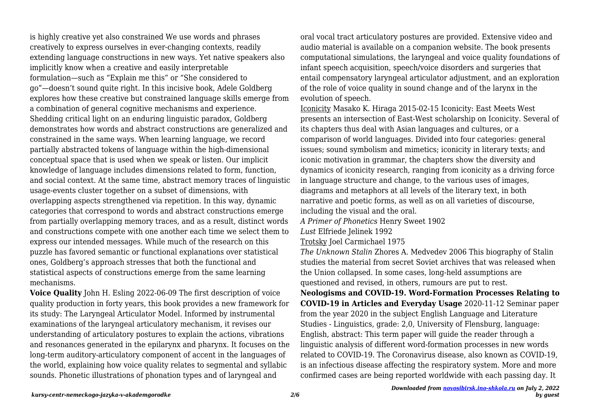is highly creative yet also constrained We use words and phrases creatively to express ourselves in ever-changing contexts, readily extending language constructions in new ways. Yet native speakers also implicitly know when a creative and easily interpretable formulation—such as "Explain me this" or "She considered to go"—doesn't sound quite right. In this incisive book, Adele Goldberg explores how these creative but constrained language skills emerge from a combination of general cognitive mechanisms and experience. Shedding critical light on an enduring linguistic paradox, Goldberg demonstrates how words and abstract constructions are generalized and constrained in the same ways. When learning language, we record partially abstracted tokens of language within the high-dimensional conceptual space that is used when we speak or listen. Our implicit knowledge of language includes dimensions related to form, function, and social context. At the same time, abstract memory traces of linguistic usage-events cluster together on a subset of dimensions, with overlapping aspects strengthened via repetition. In this way, dynamic categories that correspond to words and abstract constructions emerge from partially overlapping memory traces, and as a result, distinct words and constructions compete with one another each time we select them to express our intended messages. While much of the research on this puzzle has favored semantic or functional explanations over statistical ones, Goldberg's approach stresses that both the functional and statistical aspects of constructions emerge from the same learning mechanisms.

**Voice Quality** John H. Esling 2022-06-09 The first description of voice quality production in forty years, this book provides a new framework for its study: The Laryngeal Articulator Model. Informed by instrumental examinations of the laryngeal articulatory mechanism, it revises our understanding of articulatory postures to explain the actions, vibrations and resonances generated in the epilarynx and pharynx. It focuses on the long-term auditory-articulatory component of accent in the languages of the world, explaining how voice quality relates to segmental and syllabic sounds. Phonetic illustrations of phonation types and of laryngeal and

oral vocal tract articulatory postures are provided. Extensive video and audio material is available on a companion website. The book presents computational simulations, the laryngeal and voice quality foundations of infant speech acquisition, speech/voice disorders and surgeries that entail compensatory laryngeal articulator adjustment, and an exploration of the role of voice quality in sound change and of the larynx in the evolution of speech.

Iconicity Masako K. Hiraga 2015-02-15 Iconicity: East Meets West presents an intersection of East-West scholarship on Iconicity. Several of its chapters thus deal with Asian languages and cultures, or a comparison of world languages. Divided into four categories: general issues; sound symbolism and mimetics; iconicity in literary texts; and iconic motivation in grammar, the chapters show the diversity and dynamics of iconicity research, ranging from iconicity as a driving force in language structure and change, to the various uses of images, diagrams and metaphors at all levels of the literary text, in both narrative and poetic forms, as well as on all varieties of discourse, including the visual and the oral.

*A Primer of Phonetics* Henry Sweet 1902

*Lust* Elfriede Jelinek 1992

Trotsky Joel Carmichael 1975

*The Unknown Stalin* Zhores A. Medvedev 2006 This biography of Stalin studies the material from secret Soviet archives that was released when the Union collapsed. In some cases, long-held assumptions are questioned and revised, in others, rumours are put to rest.

**Neologisms and COVID-19. Word-Formation Processes Relating to COVID-19 in Articles and Everyday Usage** 2020-11-12 Seminar paper from the year 2020 in the subject English Language and Literature Studies - Linguistics, grade: 2,0, University of Flensburg, language: English, abstract: This term paper will guide the reader through a linguistic analysis of different word-formation processes in new words related to COVID-19. The Coronavirus disease, also known as COVID-19, is an infectious disease affecting the respiratory system. More and more confirmed cases are being reported worldwide with each passing day. It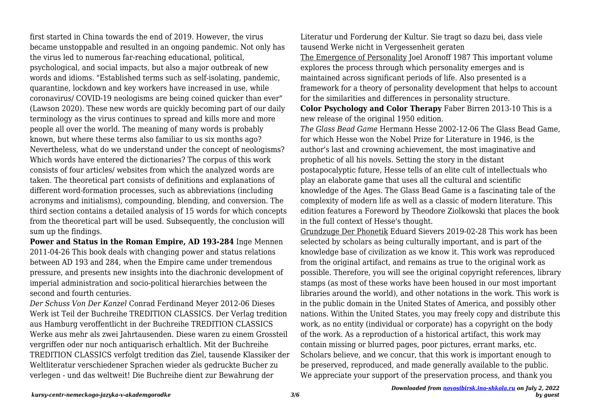first started in China towards the end of 2019. However, the virus became unstoppable and resulted in an ongoing pandemic. Not only has the virus led to numerous far-reaching educational, political, psychological, and social impacts, but also a major outbreak of new words and idioms. "Established terms such as self-isolating, pandemic, quarantine, lockdown and key workers have increased in use, while coronavirus/ COVID-19 neologisms are being coined quicker than ever" (Lawson 2020). These new words are quickly becoming part of our daily terminology as the virus continues to spread and kills more and more people all over the world. The meaning of many words is probably known, but where these terms also familiar to us six months ago? Nevertheless, what do we understand under the concept of neologisms? Which words have entered the dictionaries? The corpus of this work consists of four articles/ websites from which the analyzed words are taken. The theoretical part consists of definitions and explanations of different word-formation processes, such as abbreviations (including acronyms and initialisms), compounding, blending, and conversion. The third section contains a detailed analysis of 15 words for which concepts from the theoretical part will be used. Subsequently, the conclusion will sum up the findings.

**Power and Status in the Roman Empire, AD 193-284** Inge Mennen 2011-04-26 This book deals with changing power and status relations between AD 193 and 284, when the Empire came under tremendous pressure, and presents new insights into the diachronic development of imperial administration and socio-political hierarchies between the second and fourth centuries.

*Der Schuss Von Der Kanzel* Conrad Ferdinand Meyer 2012-06 Dieses Werk ist Teil der Buchreihe TREDITION CLASSICS. Der Verlag tredition aus Hamburg veroffentlicht in der Buchreihe TREDITION CLASSICS Werke aus mehr als zwei Jahrtausenden. Diese waren zu einem Grossteil vergriffen oder nur noch antiquarisch erhaltlich. Mit der Buchreihe TREDITION CLASSICS verfolgt tredition das Ziel, tausende Klassiker der Weltliteratur verschiedener Sprachen wieder als gedruckte Bucher zu verlegen - und das weltweit! Die Buchreihe dient zur Bewahrung der

Literatur und Forderung der Kultur. Sie tragt so dazu bei, dass viele tausend Werke nicht in Vergessenheit geraten

The Emergence of Personality Joel Aronoff 1987 This important volume explores the process through which personality emerges and is maintained across significant periods of life. Also presented is a framework for a theory of personality development that helps to account for the similarities and differences in personality structure.

**Color Psychology and Color Therapy** Faber Birren 2013-10 This is a new release of the original 1950 edition.

*The Glass Bead Game* Hermann Hesse 2002-12-06 The Glass Bead Game, for which Hesse won the Nobel Prize for Literature in 1946, is the author's last and crowning achievement, the most imaginative and prophetic of all his novels. Setting the story in the distant postapocalyptic future, Hesse tells of an elite cult of intellectuals who play an elaborate game that uses all the cultural and scientific knowledge of the Ages. The Glass Bead Game is a fascinating tale of the complexity of modern life as well as a classic of modern literature. This edition features a Foreword by Theodore Ziolkowski that places the book in the full context of Hesse's thought.

Grundzuge Der Phonetik Eduard Sievers 2019-02-28 This work has been selected by scholars as being culturally important, and is part of the knowledge base of civilization as we know it. This work was reproduced from the original artifact, and remains as true to the original work as possible. Therefore, you will see the original copyright references, library stamps (as most of these works have been housed in our most important libraries around the world), and other notations in the work. This work is in the public domain in the United States of America, and possibly other nations. Within the United States, you may freely copy and distribute this work, as no entity (individual or corporate) has a copyright on the body of the work. As a reproduction of a historical artifact, this work may contain missing or blurred pages, poor pictures, errant marks, etc. Scholars believe, and we concur, that this work is important enough to be preserved, reproduced, and made generally available to the public. We appreciate your support of the preservation process, and thank you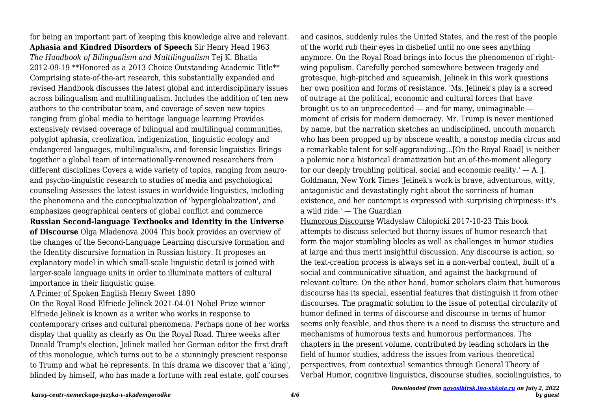for being an important part of keeping this knowledge alive and relevant. **Aphasia and Kindred Disorders of Speech** Sir Henry Head 1963 *The Handbook of Bilingualism and Multilingualism* Tej K. Bhatia 2012-09-19 \*\*Honored as a 2013 Choice Outstanding Academic Title\*\* Comprising state-of-the-art research, this substantially expanded and revised Handbook discusses the latest global and interdisciplinary issues across bilingualism and multilingualism. Includes the addition of ten new authors to the contributor team, and coverage of seven new topics ranging from global media to heritage language learning Provides extensively revised coverage of bilingual and multilingual communities, polyglot aphasia, creolization, indigenization, linguistic ecology and endangered languages, multilingualism, and forensic linguistics Brings together a global team of internationally-renowned researchers from different disciplines Covers a wide variety of topics, ranging from neuroand psycho-linguistic research to studies of media and psychological counseling Assesses the latest issues in worldwide linguistics, including the phenomena and the conceptualization of 'hyperglobalization', and emphasizes geographical centers of global conflict and commerce **Russian Second-language Textbooks and Identity in the Universe of Discourse** Olga Mladenova 2004 This book provides an overview of the changes of the Second-Language Learning discursive formation and the Identity discursive formation in Russian history. It proposes an explanatory model in which small-scale linguistic detail is joined with larger-scale language units in order to illuminate matters of cultural importance in their linguistic guise.

A Primer of Spoken English Henry Sweet 1890

On the Royal Road Elfriede Jelinek 2021-04-01 Nobel Prize winner Elfriede Jelinek is known as a writer who works in response to contemporary crises and cultural phenomena. Perhaps none of her works display that quality as clearly as On the Royal Road. Three weeks after Donald Trump's election, Jelinek mailed her German editor the first draft of this monologue, which turns out to be a stunningly prescient response to Trump and what he represents. In this drama we discover that a 'king', blinded by himself, who has made a fortune with real estate, golf courses

and casinos, suddenly rules the United States, and the rest of the people of the world rub their eyes in disbelief until no one sees anything anymore. On the Royal Road brings into focus the phenomenon of rightwing populism. Carefully perched somewhere between tragedy and grotesque, high-pitched and squeamish, Jelinek in this work questions her own position and forms of resistance. 'Ms. Jelinek's play is a screed of outrage at the political, economic and cultural forces that have brought us to an unprecedented  $-$  and for many, unimaginable  $$ moment of crisis for modern democracy. Mr. Trump is never mentioned by name, but the narration sketches an undisciplined, uncouth monarch who has been propped up by obscene wealth, a nonstop media circus and a remarkable talent for self-aggrandizing...[On the Royal Road] is neither a polemic nor a historical dramatization but an of-the-moment allegory for our deeply troubling political, social and economic reality.'  $-$  A. J. Goldmann, New York Times 'Jelinek's work is brave, adventurous, witty, antagonistic and devastatingly right about the sorriness of human existence, and her contempt is expressed with surprising chirpiness: it's a wild ride.' — The Guardian

Humorous Discourse Wladyslaw Chlopicki 2017-10-23 This book attempts to discuss selected but thorny issues of humor research that form the major stumbling blocks as well as challenges in humor studies at large and thus merit insightful discussion. Any discourse is action, so the text-creation process is always set in a non-verbal context, built of a social and communicative situation, and against the background of relevant culture. On the other hand, humor scholars claim that humorous discourse has its special, essential features that distinguish it from other discourses. The pragmatic solution to the issue of potential circularity of humor defined in terms of discourse and discourse in terms of humor seems only feasible, and thus there is a need to discuss the structure and mechanisms of humorous texts and humorous performances. The chapters in the present volume, contributed by leading scholars in the field of humor studies, address the issues from various theoretical perspectives, from contextual semantics through General Theory of Verbal Humor, cognitive linguistics, discourse studies, sociolinguistics, to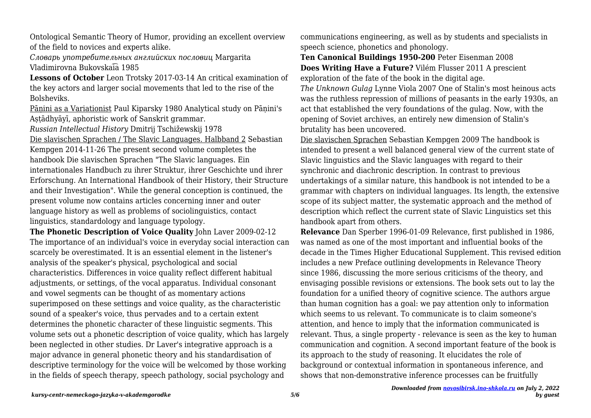Ontological Semantic Theory of Humor, providing an excellent overview of the field to novices and experts alike.

*Словарь употребительных английских пословиц* Margarita Vladimirovna Bukovskai͡a 1985

**Lessons of October** Leon Trotsky 2017-03-14 An critical examination of the key actors and larger social movements that led to the rise of the Bolsheviks.

Pānini as a Variationist Paul Kiparsky 1980 Analytical study on Pānini's Astādhyāyī, aphoristic work of Sanskrit grammar.

*Russian Intellectual History* Dmitrij Tschižewskij 1978

Die slavischen Sprachen / The Slavic Languages. Halbband 2 Sebastian Kempgen 2014-11-26 The present second volume completes the handbook Die slavischen Sprachen "The Slavic languages. Ein internationales Handbuch zu ihrer Struktur, ihrer Geschichte und ihrer Erforschung. An International Handbook of their History, their Structure and their Investigation". While the general conception is continued, the present volume now contains articles concerning inner and outer language history as well as problems of sociolinguistics, contact linguistics, standardology and language typology.

**The Phonetic Description of Voice Quality** John Laver 2009-02-12 The importance of an individual's voice in everyday social interaction can scarcely be overestimated. It is an essential element in the listener's analysis of the speaker's physical, psychological and social characteristics. Differences in voice quality reflect different habitual adjustments, or settings, of the vocal apparatus. Individual consonant and vowel segments can be thought of as momentary actions superimposed on these settings and voice quality, as the characteristic sound of a speaker's voice, thus pervades and to a certain extent determines the phonetic character of these linguistic segments. This volume sets out a phonetic description of voice quality, which has largely been neglected in other studies. Dr Laver's integrative approach is a major advance in general phonetic theory and his standardisation of descriptive terminology for the voice will be welcomed by those working in the fields of speech therapy, speech pathology, social psychology and

communications engineering, as well as by students and specialists in speech science, phonetics and phonology.

**Ten Canonical Buildings 1950-200** Peter Eisenman 2008 **Does Writing Have a Future?** Vilém Flusser 2011 A prescient exploration of the fate of the book in the digital age.

*The Unknown Gulag* Lynne Viola 2007 One of Stalin's most heinous acts was the ruthless repression of millions of peasants in the early 1930s, an act that established the very foundations of the gulag. Now, with the opening of Soviet archives, an entirely new dimension of Stalin's brutality has been uncovered.

Die slavischen Sprachen Sebastian Kempgen 2009 The handbook is intended to present a well balanced general view of the current state of Slavic linguistics and the Slavic languages with regard to their synchronic and diachronic description. In contrast to previous undertakings of a similar nature, this handbook is not intended to be a grammar with chapters on individual languages. Its length, the extensive scope of its subject matter, the systematic approach and the method of description which reflect the current state of Slavic Linguistics set this handbook apart from others.

**Relevance** Dan Sperber 1996-01-09 Relevance, first published in 1986, was named as one of the most important and influential books of the decade in the Times Higher Educational Supplement. This revised edition includes a new Preface outlining developments in Relevance Theory since 1986, discussing the more serious criticisms of the theory, and envisaging possible revisions or extensions. The book sets out to lay the foundation for a unified theory of cognitive science. The authors argue than human cognition has a goal: we pay attention only to information which seems to us relevant. To communicate is to claim someone's attention, and hence to imply that the information communicated is relevant. Thus, a single property - relevance is seen as the key to human communication and cognition. A second important feature of the book is its approach to the study of reasoning. It elucidates the role of background or contextual information in spontaneous inference, and shows that non-demonstrative inference processes can be fruitfully